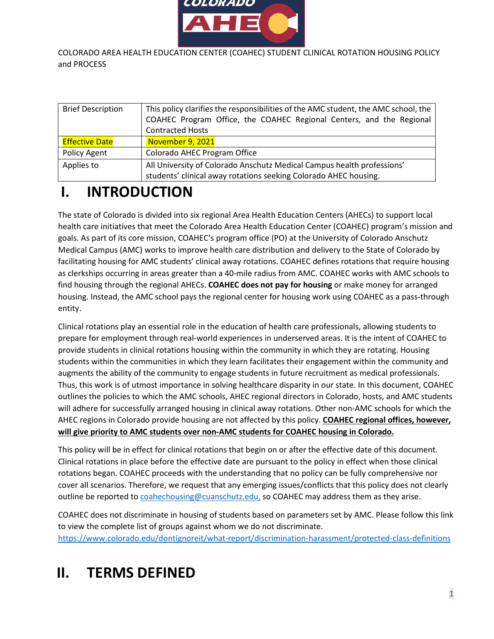

COLORADO AREA HEALTH EDUCATION CENTER (COAHEC) STUDENT CLINICAL ROTATION HOUSING POLICY and PROCESS

| <b>Brief Description</b> | This policy clarifies the responsibilities of the AMC student, the AMC school, the |
|--------------------------|------------------------------------------------------------------------------------|
|                          | COAHEC Program Office, the COAHEC Regional Centers, and the Regional               |
|                          | <b>Contracted Hosts</b>                                                            |
| <b>Effective Date</b>    | November 9, 2021                                                                   |
| Policy Agent             | Colorado AHEC Program Office                                                       |
| Applies to               | All University of Colorado Anschutz Medical Campus health professions'             |
|                          | students' clinical away rotations seeking Colorado AHEC housing.                   |

# **I. INTRODUCTION**

The state of Colorado is divided into six regional Area Health Education Centers (AHECs) to support local health care initiatives that meet the Colorado Area Health Education Center (COAHEC) program's mission and goals. As part of its core mission, COAHEC's program office (PO) at the University of Colorado Anschutz Medical Campus (AMC) works to improve health care distribution and delivery to the State of Colorado by facilitating housing for AMC students' clinical away rotations. COAHEC defines rotations that require housing as clerkships occurring in areas greater than a 40-mile radius from AMC. COAHEC works with AMC schools to find housing through the regional AHECs. **COAHEC does not pay for housing** or make money for arranged housing. Instead, the AMC school pays the regional center for housing work using COAHEC as a pass-through entity.

Clinical rotations play an essential role in the education of health care professionals, allowing students to prepare for employment through real-world experiences in underserved areas. It is the intent of COAHEC to provide students in clinical rotations housing within the community in which they are rotating. Housing students within the communities in which they learn facilitates their engagement within the community and augments the ability of the community to engage students in future recruitment as medical professionals. Thus, this work is of utmost importance in solving healthcare disparity in our state. In this document, COAHEC outlines the policies to which the AMC schools, AHEC regional directors in Colorado, hosts, and AMC students will adhere for successfully arranged housing in clinical away rotations. Other non-AMC schools for which the AHEC regions in Colorado provide housing are not affected by this policy. **COAHEC regional offices, however, will give priority to AMC students over non-AMC students for COAHEC housing in Colorado.**

This policy will be in effect for clinical rotations that begin on or after the effective date of this document. Clinical rotations in place before the effective date are pursuant to the policy in effect when those clinical rotations began. COAHEC proceeds with the understanding that no policy can be fully comprehensive nor cover all scenarios. Therefore, we request that any emerging issues/conflicts that this policy does not clearly outline be reported to [coahechousing@cuanschutz.edu,](mailto:coahechousing@cuanschutz.edu) so COAHEC may address them as they arise.

COAHEC does not discriminate in housing of students based on parameters set by AMC. Please follow this link to view the complete list of groups against whom we do not discriminate. <https://www.colorado.edu/dontignoreit/what-report/discrimination-harassment/protected-class-definitions>

# **II. TERMS DEFINED**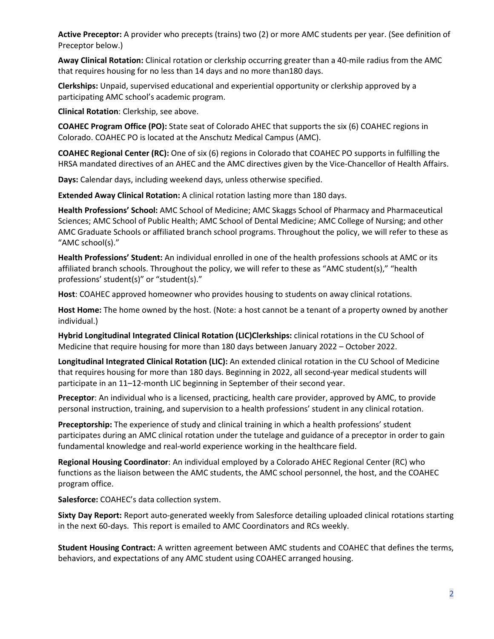**Active Preceptor:** A provider who precepts (trains) two (2) or more AMC students per year. (See definition of Preceptor below.)

**Away Clinical Rotation:** Clinical rotation or clerkship occurring greater than a 40-mile radius from the AMC that requires housing for no less than 14 days and no more than180 days.

**Clerkships:** Unpaid, supervised educational and experiential opportunity or clerkship approved by a participating AMC school's academic program.

**Clinical Rotation**: Clerkship, see above.

**COAHEC Program Office (PO):** State seat of Colorado AHEC that supports the six (6) COAHEC regions in Colorado. COAHEC PO is located at the Anschutz Medical Campus (AMC).

**COAHEC Regional Center (RC):** One of six (6) regions in Colorado that COAHEC PO supports in fulfilling the HRSA mandated directives of an AHEC and the AMC directives given by the Vice-Chancellor of Health Affairs.

**Days:** Calendar days, including weekend days, unless otherwise specified.

**Extended Away Clinical Rotation:** A clinical rotation lasting more than 180 days.

**Health Professions' School:** AMC School of Medicine; AMC Skaggs School of Pharmacy and Pharmaceutical Sciences; AMC School of Public Health; AMC School of Dental Medicine; AMC College of Nursing; and other AMC Graduate Schools or affiliated branch school programs. Throughout the policy, we will refer to these as "AMC school(s)."

**Health Professions' Student:** An individual enrolled in one of the health professions schools at AMC or its affiliated branch schools. Throughout the policy, we will refer to these as "AMC student(s)," "health professions' student(s)" or "student(s)."

**Host**: COAHEC approved homeowner who provides housing to students on away clinical rotations.

**Host Home:** The home owned by the host. (Note: a host cannot be a tenant of a property owned by another individual.)

**Hybrid Longitudinal Integrated Clinical Rotation (LIC)Clerkships:** clinical rotations in the CU School of Medicine that require housing for more than 180 days between January 2022 – October 2022.

**Longitudinal Integrated Clinical Rotation (LIC):** An extended clinical rotation in the CU School of Medicine that requires housing for more than 180 days. Beginning in 2022, all second-year medical students will participate in an 11–12-month LIC beginning in September of their second year.

**Preceptor**: An individual who is a licensed, practicing, health care provider, approved by AMC, to provide personal instruction, training, and supervision to a health professions' student in any clinical rotation.

**Preceptorship:** The experience of study and clinical training in which a health professions' student participates during an AMC clinical rotation under the tutelage and guidance of a preceptor in order to gain fundamental knowledge and real-world experience working in the healthcare field.

**Regional Housing Coordinator**: An individual employed by a Colorado AHEC Regional Center (RC) who functions as the liaison between the AMC students, the AMC school personnel, the host, and the COAHEC program office.

**Salesforce:** COAHEC's data collection system.

**Sixty Day Report:** Report auto-generated weekly from Salesforce detailing uploaded clinical rotations starting in the next 60-days. This report is emailed to AMC Coordinators and RCs weekly.

**Student Housing Contract:** A written agreement between AMC students and COAHEC that defines the terms, behaviors, and expectations of any AMC student using COAHEC arranged housing.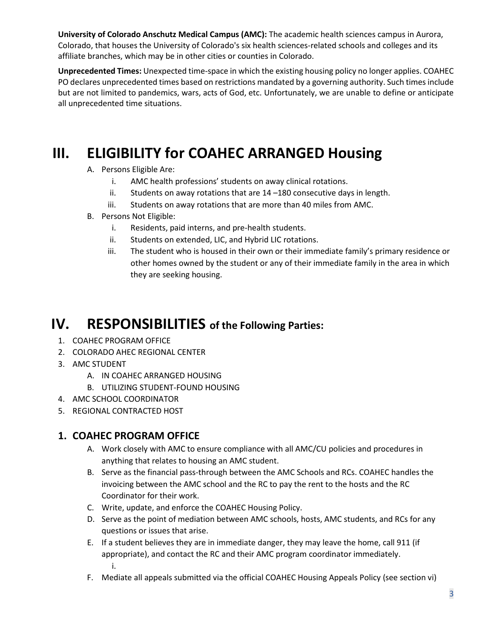**University of Colorado Anschutz Medical Campus (AMC):** The academic health sciences campus in Aurora, Colorado, that houses the University of Colorado's six health sciences-related schools and colleges and its affiliate branches, which may be in other cities or counties in Colorado.

**Unprecedented Times:** Unexpected time-space in which the existing housing policy no longer applies. COAHEC PO declares unprecedented times based on restrictions mandated by a governing authority. Such times include but are not limited to pandemics, wars, acts of God, etc. Unfortunately, we are unable to define or anticipate all unprecedented time situations.

# **III. ELIGIBILITY for COAHEC ARRANGED Housing**

- A. Persons Eligible Are:
	- i. AMC health professions' students on away clinical rotations.
	- ii. Students on away rotations that are 14 –180 consecutive days in length.
	- iii. Students on away rotations that are more than 40 miles from AMC.
- B. Persons Not Eligible:
	- i. Residents, paid interns, and pre-health students.
	- ii. Students on extended, LIC, and Hybrid LIC rotations.
	- iii. The student who is housed in their own or their immediate family's primary residence or other homes owned by the student or any of their immediate family in the area in which they are seeking housing.

# **IV. RESPONSIBILITIES of the Following Parties:**

- 1. COAHEC PROGRAM OFFICE
- 2. COLORADO AHEC REGIONAL CENTER
- 3. AMC STUDENT
	- A. IN COAHEC ARRANGED HOUSING
	- B. UTILIZING STUDENT-FOUND HOUSING
- 4. AMC SCHOOL COORDINATOR
- 5. REGIONAL CONTRACTED HOST

### **1. COAHEC PROGRAM OFFICE**

- A. Work closely with AMC to ensure compliance with all AMC/CU policies and procedures in anything that relates to housing an AMC student.
- B. Serve as the financial pass-through between the AMC Schools and RCs. COAHEC handles the invoicing between the AMC school and the RC to pay the rent to the hosts and the RC Coordinator for their work.
- C. Write, update, and enforce the COAHEC Housing Policy.
- D. Serve as the point of mediation between AMC schools, hosts, AMC students, and RCs for any questions or issues that arise.
- E. If a student believes they are in immediate danger, they may leave the home, call 911 (if appropriate), and contact the RC and their AMC program coordinator immediately. i.
- F. Mediate all appeals submitted via the official COAHEC Housing Appeals Policy (see section vi)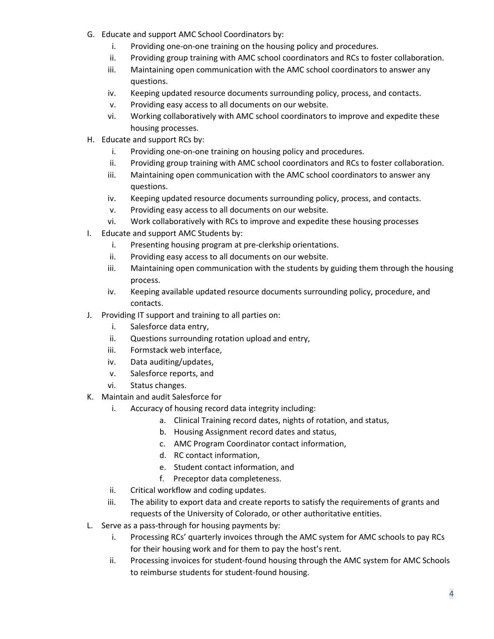- G. Educate and support AMC School Coordinators by:
	- i. Providing one-on-one training on the housing policy and procedures.
	- ii. Providing group training with AMC school coordinators and RCs to foster collaboration.
	- iii. Maintaining open communication with the AMC school coordinators to answer any questions.
	- iv. Keeping updated resource documents surrounding policy, process, and contacts.
	- v. Providing easy access to all documents on our website.
	- vi. Working collaboratively with AMC school coordinators to improve and expedite these housing processes.
- H. Educate and support RCs by:
	- i. Providing one-on-one training on housing policy and procedures.
	- ii. Providing group training with AMC school coordinators and RCs to foster collaboration.
	- iii. Maintaining open communication with the AMC school coordinators to answer any questions.
	- iv. Keeping updated resource documents surrounding policy, process, and contacts.
	- v. Providing easy access to all documents on our website.
	- vi. Work collaboratively with RCs to improve and expedite these housing processes
- I. Educate and support AMC Students by:
	- i. Presenting housing program at pre-clerkship orientations.
	- ii. Providing easy access to all documents on our website.
	- iii. Maintaining open communication with the students by guiding them through the housing process.
	- iv. Keeping available updated resource documents surrounding policy, procedure, and contacts.
- J. Providing IT support and training to all parties on:
	- i. Salesforce data entry,
	- ii. Questions surrounding rotation upload and entry,
	- iii. Formstack web interface,
	- iv. Data auditing/updates,
	- v. Salesforce reports, and
	- vi. Status changes.
- K. Maintain and audit Salesforce for
	- i. Accuracy of housing record data integrity including:
		- a. Clinical Training record dates, nights of rotation, and status,
		- b. Housing Assignment record dates and status,
		- c. AMC Program Coordinator contact information,
		- d. RC contact information,
		- e. Student contact information, and
		- f. Preceptor data completeness.
	- ii. Critical workflow and coding updates.
	- iii. The ability to export data and create reports to satisfy the requirements of grants and requests of the University of Colorado, or other authoritative entities.
- L. Serve as a pass-through for housing payments by:
	- i. Processing RCs' quarterly invoices through the AMC system for AMC schools to pay RCs for their housing work and for them to pay the host's rent.
	- ii. Processing invoices for student-found housing through the AMC system for AMC Schools to reimburse students for student-found housing.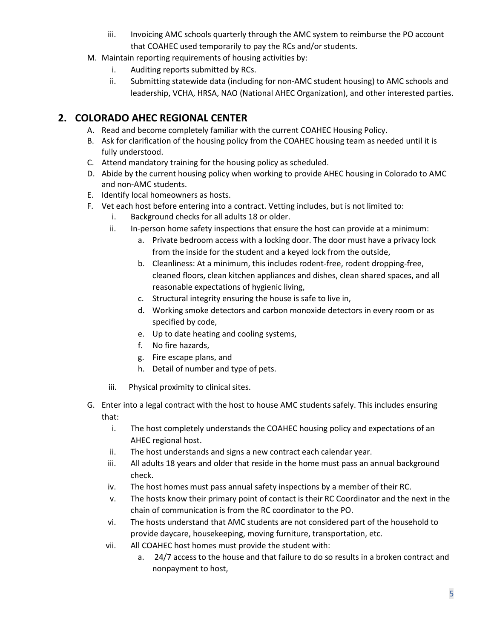- iii. Invoicing AMC schools quarterly through the AMC system to reimburse the PO account that COAHEC used temporarily to pay the RCs and/or students.
- M. Maintain reporting requirements of housing activities by:
	- i. Auditing reports submitted by RCs.
	- ii. Submitting statewide data (including for non-AMC student housing) to AMC schools and leadership, VCHA, HRSA, NAO (National AHEC Organization), and other interested parties.

# **2. COLORADO AHEC REGIONAL CENTER**

- A. Read and become completely familiar with the current COAHEC Housing Policy.
- B. Ask for clarification of the housing policy from the COAHEC housing team as needed until it is fully understood.
- C. Attend mandatory training for the housing policy as scheduled.
- D. Abide by the current housing policy when working to provide AHEC housing in Colorado to AMC and non-AMC students.
- E. Identify local homeowners as hosts.
- F. Vet each host before entering into a contract. Vetting includes, but is not limited to:
	- i. Background checks for all adults 18 or older.
	- ii. In-person home safety inspections that ensure the host can provide at a minimum:
		- a. Private bedroom access with a locking door. The door must have a privacy lock from the inside for the student and a keyed lock from the outside,
		- b. Cleanliness: At a minimum, this includes rodent-free, rodent dropping-free, cleaned floors, clean kitchen appliances and dishes, clean shared spaces, and all reasonable expectations of hygienic living,
		- c. Structural integrity ensuring the house is safe to live in,
		- d. Working smoke detectors and carbon monoxide detectors in every room or as specified by code,
		- e. Up to date heating and cooling systems,
		- f. No fire hazards,
		- g. Fire escape plans, and
		- h. Detail of number and type of pets.
	- iii. Physical proximity to clinical sites.
- G. Enter into a legal contract with the host to house AMC students safely. This includes ensuring that:
	- i. The host completely understands the COAHEC housing policy and expectations of an AHEC regional host.
	- ii. The host understands and signs a new contract each calendar year.
	- iii. All adults 18 years and older that reside in the home must pass an annual background check.
	- iv. The host homes must pass annual safety inspections by a member of their RC.
	- v. The hosts know their primary point of contact is their RC Coordinator and the next in the chain of communication is from the RC coordinator to the PO.
	- vi. The hosts understand that AMC students are not considered part of the household to provide daycare, housekeeping, moving furniture, transportation, etc.
	- vii. All COAHEC host homes must provide the student with:
		- a. 24/7 access to the house and that failure to do so results in a broken contract and nonpayment to host,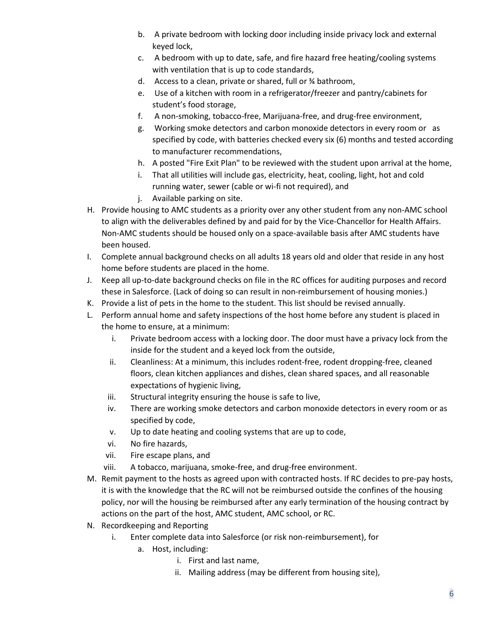- b. A private bedroom with locking door including inside privacy lock and external keyed lock,
- c. A bedroom with up to date, safe, and fire hazard free heating/cooling systems with ventilation that is up to code standards,
- d. Access to a clean, private or shared, full or ¾ bathroom,
- e. Use of a kitchen with room in a refrigerator/freezer and pantry/cabinets for student's food storage,
- f. A non-smoking, tobacco-free, Marijuana-free, and drug-free environment,
- g. Working smoke detectors and carbon monoxide detectors in every room or as specified by code, with batteries checked every six (6) months and tested according to manufacturer recommendations,
- h. A posted "Fire Exit Plan" to be reviewed with the student upon arrival at the home,
- i. That all utilities will include gas, electricity, heat, cooling, light, hot and cold running water, sewer (cable or wi-fi not required), and
- j. Available parking on site.
- H. Provide housing to AMC students as a priority over any other student from any non-AMC school to align with the deliverables defined by and paid for by the Vice-Chancellor for Health Affairs. Non-AMC students should be housed only on a space-available basis after AMC students have been housed.
- I. Complete annual background checks on all adults 18 years old and older that reside in any host home before students are placed in the home.
- J. Keep all up-to-date background checks on file in the RC offices for auditing purposes and record these in Salesforce. (Lack of doing so can result in non-reimbursement of housing monies.)
- K. Provide a list of pets in the home to the student. This list should be revised annually.
- L. Perform annual home and safety inspections of the host home before any student is placed in the home to ensure, at a minimum:
	- i. Private bedroom access with a locking door. The door must have a privacy lock from the inside for the student and a keyed lock from the outside,
	- ii. Cleanliness: At a minimum, this includes rodent-free, rodent dropping-free, cleaned floors, clean kitchen appliances and dishes, clean shared spaces, and all reasonable expectations of hygienic living,
	- iii. Structural integrity ensuring the house is safe to live,
	- iv. There are working smoke detectors and carbon monoxide detectors in every room or as specified by code,
	- v. Up to date heating and cooling systems that are up to code,
	- vi. No fire hazards,
	- vii. Fire escape plans, and
	- viii. A tobacco, marijuana, smoke-free, and drug-free environment.
- M. Remit payment to the hosts as agreed upon with contracted hosts. If RC decides to pre-pay hosts, it is with the knowledge that the RC will not be reimbursed outside the confines of the housing policy, nor will the housing be reimbursed after any early termination of the housing contract by actions on the part of the host, AMC student, AMC school, or RC.
- N. Recordkeeping and Reporting
	- i. Enter complete data into Salesforce (or risk non-reimbursement), for
		- a. Host, including:
			- i. First and last name,
			- ii. Mailing address (may be different from housing site),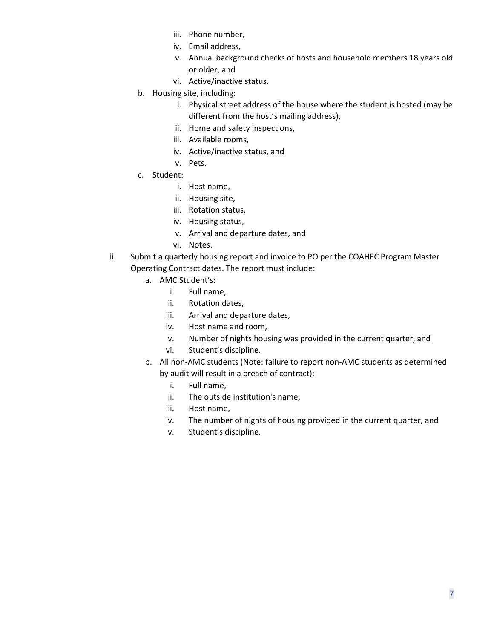- iii. Phone number,
- iv. Email address,
- v. Annual background checks of hosts and household members 18 years old or older, and
- vi. Active/inactive status.
- b. Housing site, including:
	- i. Physical street address of the house where the student is hosted (may be different from the host's mailing address),
	- ii. Home and safety inspections,
	- iii. Available rooms,
	- iv. Active/inactive status, and
	- v. Pets.
- c. Student:
	- i. Host name,
	- ii. Housing site,
	- iii. Rotation status,
	- iv. Housing status,
	- v. Arrival and departure dates, and
	- vi. Notes.
- ii. Submit a quarterly housing report and invoice to PO per the COAHEC Program Master Operating Contract dates. The report must include:
	- a. AMC Student's:
		- i. Full name,
		- ii. Rotation dates,
		- iii. Arrival and departure dates,
		- iv. Host name and room,
		- v. Number of nights housing was provided in the current quarter, and
		- vi. Student's discipline.
	- b. All non-AMC students (Note: failure to report non-AMC students as determined by audit will result in a breach of contract):
		- i. Full name,
		- ii. The outside institution's name,
		- iii. Host name,
		- iv. The number of nights of housing provided in the current quarter, and
		- v. Student's discipline.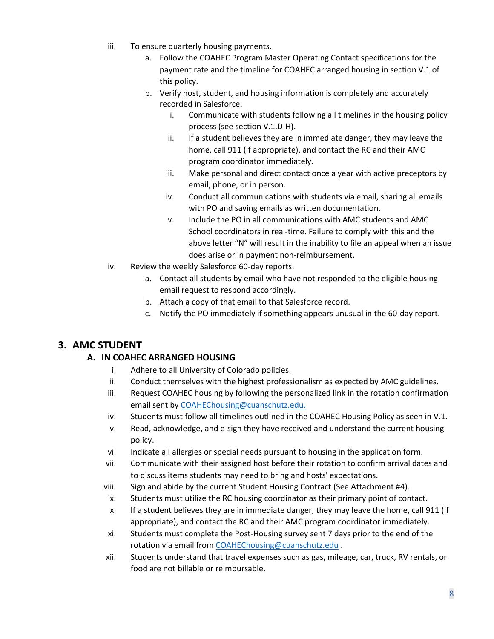- iii. To ensure quarterly housing payments.
	- a. Follow the COAHEC Program Master Operating Contact specifications for the payment rate and the timeline for COAHEC arranged housing in section V.1 of this policy.
	- b. Verify host, student, and housing information is completely and accurately recorded in Salesforce.
		- i. Communicate with students following all timelines in the housing policy process (see section V.1.D-H).
		- ii. If a student believes they are in immediate danger, they may leave the home, call 911 (if appropriate), and contact the RC and their AMC program coordinator immediately.
		- iii. Make personal and direct contact once a year with active preceptors by email, phone, or in person.
		- iv. Conduct all communications with students via email, sharing all emails with PO and saving emails as written documentation.
		- v. Include the PO in all communications with AMC students and AMC School coordinators in real-time. Failure to comply with this and the above letter "N" will result in the inability to file an appeal when an issue does arise or in payment non-reimbursement.
- iv. Review the weekly Salesforce 60-day reports.
	- a. Contact all students by email who have not responded to the eligible housing email request to respond accordingly.
	- b. Attach a copy of that email to that Salesforce record.
	- c. Notify the PO immediately if something appears unusual in the 60-day report.

# **3. AMC STUDENT**

#### **A. IN COAHEC ARRANGED HOUSING**

- i. Adhere to all University of Colorado policies.
- ii. Conduct themselves with the highest professionalism as expected by AMC guidelines.
- iii. Request COAHEC housing by following the personalized link in the rotation confirmation email sent by [COAHEChousing@cuanschutz.edu.](mailto:COAHEChousing@cuanschutz.edu)
- iv. Students must follow all timelines outlined in the COAHEC Housing Policy as seen in V.1.
- v. Read, acknowledge, and e-sign they have received and understand the current housing policy.
- vi. Indicate all allergies or special needs pursuant to housing in the application form.
- vii. Communicate with their assigned host before their rotation to confirm arrival dates and to discuss items students may need to bring and hosts' expectations.
- viii. Sign and abide by the current Student Housing Contract (See Attachment #4).
- ix. Students must utilize the RC housing coordinator as their primary point of contact.
- x. If a student believes they are in immediate danger, they may leave the home, call 911 (if appropriate), and contact the RC and their AMC program coordinator immediately.
- xi. Students must complete the Post-Housing survey sent 7 days prior to the end of the rotation via email from [COAHEChousing@cuanschutz.edu](mailto:COAHEChousing@cuanschutz.edu) .
- xii. Students understand that travel expenses such as gas, mileage, car, truck, RV rentals, or food are not billable or reimbursable.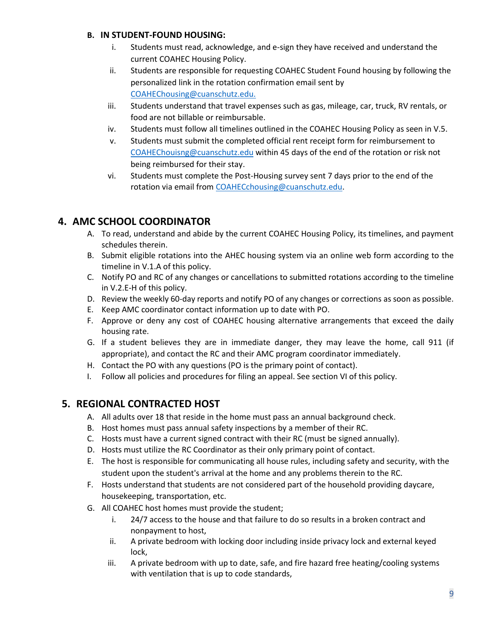#### **B. IN STUDENT-FOUND HOUSING:**

- i. Students must read, acknowledge, and e-sign they have received and understand the current COAHEC Housing Policy.
- ii. Students are responsible for requesting COAHEC Student Found housing by following the personalized link in the rotation confirmation email sent by [COAHEChousing@cuanschutz.edu.](mailto:COAHEChousing@cuanschutz.edu)
- iii. Students understand that travel expenses such as gas, mileage, car, truck, RV rentals, or food are not billable or reimbursable.
- iv. Students must follow all timelines outlined in the COAHEC Housing Policy as seen in V.5.
- v. Students must submit the completed official rent receipt form for reimbursement to [COAHEChouisng@cuanschutz.edu](mailto:COAHEChouisng@cuanschutz.edu) within 45 days of the end of the rotation or risk not being reimbursed for their stay.
- vi. Students must complete the Post-Housing survey sent 7 days prior to the end of the rotation via email from [COAHECchousing@cuanschutz.edu.](mailto:COAHECchousing@cuanschutz.edu)

# **4. AMC SCHOOL COORDINATOR**

- A. To read, understand and abide by the current COAHEC Housing Policy, its timelines, and payment schedules therein.
- B. Submit eligible rotations into the AHEC housing system via an online web form according to the timeline in V.1.A of this policy.
- C. Notify PO and RC of any changes or cancellations to submitted rotations according to the timeline in V.2.E-H of this policy.
- D. Review the weekly 60-day reports and notify PO of any changes or corrections as soon as possible.
- E. Keep AMC coordinator contact information up to date with PO.
- F. Approve or deny any cost of COAHEC housing alternative arrangements that exceed the daily housing rate.
- G. If a student believes they are in immediate danger, they may leave the home, call 911 (if appropriate), and contact the RC and their AMC program coordinator immediately.
- H. Contact the PO with any questions (PO is the primary point of contact).
- I. Follow all policies and procedures for filing an appeal. See section VI of this policy.

# **5. REGIONAL CONTRACTED HOST**

- A. All adults over 18 that reside in the home must pass an annual background check.
- B. Host homes must pass annual safety inspections by a member of their RC.
- C. Hosts must have a current signed contract with their RC (must be signed annually).
- D. Hosts must utilize the RC Coordinator as their only primary point of contact.
- E. The host is responsible for communicating all house rules, including safety and security, with the student upon the student's arrival at the home and any problems therein to the RC.
- F. Hosts understand that students are not considered part of the household providing daycare, housekeeping, transportation, etc.
- G. All COAHEC host homes must provide the student;
	- i. 24/7 access to the house and that failure to do so results in a broken contract and nonpayment to host,
	- ii. A private bedroom with locking door including inside privacy lock and external keyed lock,
	- iii. A private bedroom with up to date, safe, and fire hazard free heating/cooling systems with ventilation that is up to code standards,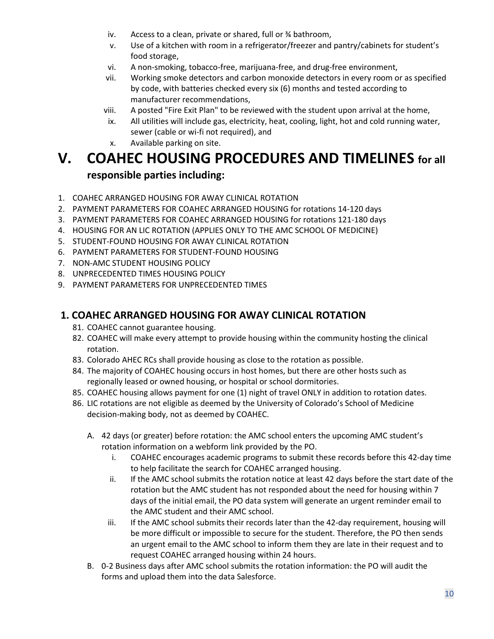- iv. Access to a clean, private or shared, full or ¾ bathroom,
- v. Use of a kitchen with room in a refrigerator/freezer and pantry/cabinets for student's food storage,
- vi. A non-smoking, tobacco-free, marijuana-free, and drug-free environment,
- vii. Working smoke detectors and carbon monoxide detectors in every room or as specified by code, with batteries checked every six (6) months and tested according to manufacturer recommendations,
- viii. A posted "Fire Exit Plan" to be reviewed with the student upon arrival at the home,
- ix. All utilities will include gas, electricity, heat, cooling, light, hot and cold running water, sewer (cable or wi-fi not required), and
- x. Available parking on site.

# **V. COAHEC HOUSING PROCEDURES AND TIMELINES for all responsible parties including:**

- 1. COAHEC ARRANGED HOUSING FOR AWAY CLINICAL ROTATION
- 2. PAYMENT PARAMETERS FOR COAHEC ARRANGED HOUSING for rotations 14-120 days
- 3. PAYMENT PARAMETERS FOR COAHEC ARRANGED HOUSING for rotations 121-180 days
- 4. HOUSING FOR AN LIC ROTATION (APPLIES ONLY TO THE AMC SCHOOL OF MEDICINE)
- 5. STUDENT-FOUND HOUSING FOR AWAY CLINICAL ROTATION
- 6. PAYMENT PARAMETERS FOR STUDENT-FOUND HOUSING
- 7. NON-AMC STUDENT HOUSING POLICY
- 8. UNPRECEDENTED TIMES HOUSING POLICY
- 9. PAYMENT PARAMETERS FOR UNPRECEDENTED TIMES

## **1. COAHEC ARRANGED HOUSING FOR AWAY CLINICAL ROTATION**

- 81. COAHEC cannot guarantee housing.
- 82. COAHEC will make every attempt to provide housing within the community hosting the clinical rotation.
- 83. Colorado AHEC RCs shall provide housing as close to the rotation as possible.
- 84. The majority of COAHEC housing occurs in host homes, but there are other hosts such as regionally leased or owned housing, or hospital or school dormitories.
- 85. COAHEC housing allows payment for one (1) night of travel ONLY in addition to rotation dates.
- 86. LIC rotations are not eligible as deemed by the University of Colorado's School of Medicine decision-making body, not as deemed by COAHEC.
	- A. 42 days (or greater) before rotation: the AMC school enters the upcoming AMC student's rotation information on a webform link provided by the PO.
		- i. COAHEC encourages academic programs to submit these records before this 42-day time to help facilitate the search for COAHEC arranged housing.
		- ii. If the AMC school submits the rotation notice at least 42 days before the start date of the rotation but the AMC student has not responded about the need for housing within 7 days of the initial email, the PO data system will generate an urgent reminder email to the AMC student and their AMC school.
		- iii. If the AMC school submits their records later than the 42-day requirement, housing will be more difficult or impossible to secure for the student. Therefore, the PO then sends an urgent email to the AMC school to inform them they are late in their request and to request COAHEC arranged housing within 24 hours.
	- B. 0-2 Business days after AMC school submits the rotation information: the PO will audit the forms and upload them into the data Salesforce.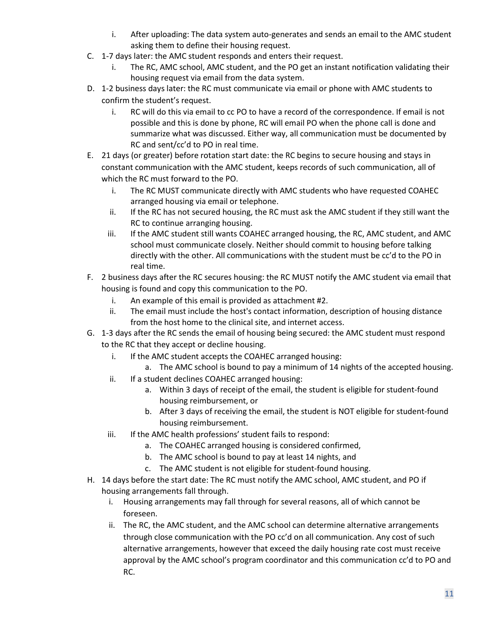- i. After uploading: The data system auto-generates and sends an email to the AMC student asking them to define their housing request.
- C. 1-7 days later: the AMC student responds and enters their request.
	- i. The RC, AMC school, AMC student, and the PO get an instant notification validating their housing request via email from the data system.
- D. 1-2 business days later: the RC must communicate via email or phone with AMC students to confirm the student's request.
	- i. RC will do this via email to cc PO to have a record of the correspondence. If email is not possible and this is done by phone, RC will email PO when the phone call is done and summarize what was discussed. Either way, all communication must be documented by RC and sent/cc'd to PO in real time.
- E. 21 days (or greater) before rotation start date: the RC begins to secure housing and stays in constant communication with the AMC student, keeps records of such communication, all of which the RC must forward to the PO.
	- i. The RC MUST communicate directly with AMC students who have requested COAHEC arranged housing via email or telephone.
	- ii. If the RC has not secured housing, the RC must ask the AMC student if they still want the RC to continue arranging housing.
	- iii. If the AMC student still wants COAHEC arranged housing, the RC, AMC student, and AMC school must communicate closely. Neither should commit to housing before talking directly with the other. All communications with the student must be cc'd to the PO in real time.
- F. 2 business days after the RC secures housing: the RC MUST notify the AMC student via email that housing is found and copy this communication to the PO.
	- i. An example of this email is provided as attachment #2.
	- ii. The email must include the host's contact information, description of housing distance from the host home to the clinical site, and internet access.
- G. 1-3 days after the RC sends the email of housing being secured: the AMC student must respond to the RC that they accept or decline housing.
	- i. If the AMC student accepts the COAHEC arranged housing:
	- a. The AMC school is bound to pay a minimum of 14 nights of the accepted housing. ii. If a student declines COAHEC arranged housing:
		- a. Within 3 days of receipt of the email, the student is eligible for student-found
			- housing reimbursement, or b. After 3 days of receiving the email, the student is NOT eligible for student-found housing reimbursement.
	- iii. If the AMC health professions' student fails to respond:
		- a. The COAHEC arranged housing is considered confirmed,
		- b. The AMC school is bound to pay at least 14 nights, and
		- c. The AMC student is not eligible for student-found housing.
- H. 14 days before the start date: The RC must notify the AMC school, AMC student, and PO if housing arrangements fall through.
	- i. Housing arrangements may fall through for several reasons, all of which cannot be foreseen.
	- ii. The RC, the AMC student, and the AMC school can determine alternative arrangements through close communication with the PO cc'd on all communication. Any cost of such alternative arrangements, however that exceed the daily housing rate cost must receive approval by the AMC school's program coordinator and this communication cc'd to PO and RC.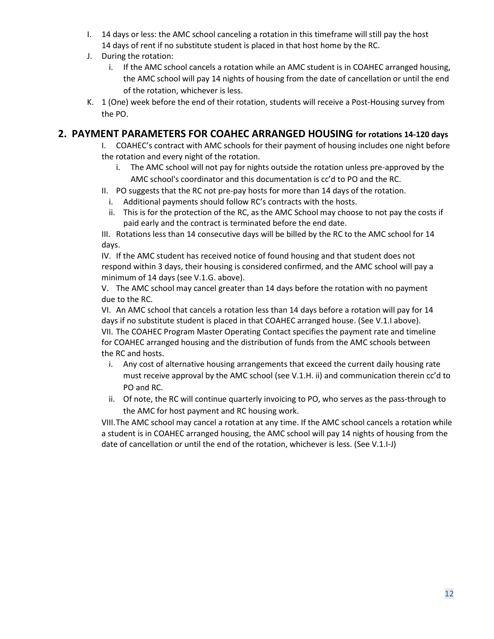- I. 14 days or less: the AMC school canceling a rotation in this timeframe will still pay the host 14 days of rent if no substitute student is placed in that host home by the RC.
- J. During the rotation:
	- i. If the AMC school cancels a rotation while an AMC student is in COAHEC arranged housing, the AMC school will pay 14 nights of housing from the date of cancellation or until the end of the rotation, whichever is less.
- K. 1 (One) week before the end of their rotation, students will receive a Post-Housing survey from the PO.

### **2. PAYMENT PARAMETERS FOR COAHEC ARRANGED HOUSING for rotations 14-120 days**

- I. COAHEC's contract with AMC schools for their payment of housing includes one night before the rotation and every night of the rotation.
	- i. The AMC school will not pay for nights outside the rotation unless pre-approved by the AMC school's coordinator and this documentation is cc'd to PO and the RC.
- II. PO suggests that the RC not pre-pay hosts for more than 14 days of the rotation.
	- i. Additional payments should follow RC's contracts with the hosts.
- ii. This is for the protection of the RC, as the AMC School may choose to not pay the costs if paid early and the contract is terminated before the end date.

III. Rotations less than 14 consecutive days will be billed by the RC to the AMC school for 14 days.

IV. If the AMC student has received notice of found housing and that student does not respond within 3 days, their housing is considered confirmed, and the AMC school will pay a minimum of 14 days (see V.1.G. above).

V. The AMC school may cancel greater than 14 days before the rotation with no payment due to the RC.

VI. An AMC school that cancels a rotation less than 14 days before a rotation will pay for 14 days if no substitute student is placed in that COAHEC arranged house. (See V.1.I above). VII. The COAHEC Program Master Operating Contact specifies the payment rate and timeline for COAHEC arranged housing and the distribution of funds from the AMC schools between the RC and hosts.

- i. Any cost of alternative housing arrangements that exceed the current daily housing rate must receive approval by the AMC school (see V.1.H. ii) and communication therein cc'd to PO and RC.
- ii. Of note, the RC will continue quarterly invoicing to PO, who serves as the pass-through to the AMC for host payment and RC housing work.

VIII.The AMC school may cancel a rotation at any time. If the AMC school cancels a rotation while a student is in COAHEC arranged housing, the AMC school will pay 14 nights of housing from the date of cancellation or until the end of the rotation, whichever is less. (See V.1.I-J)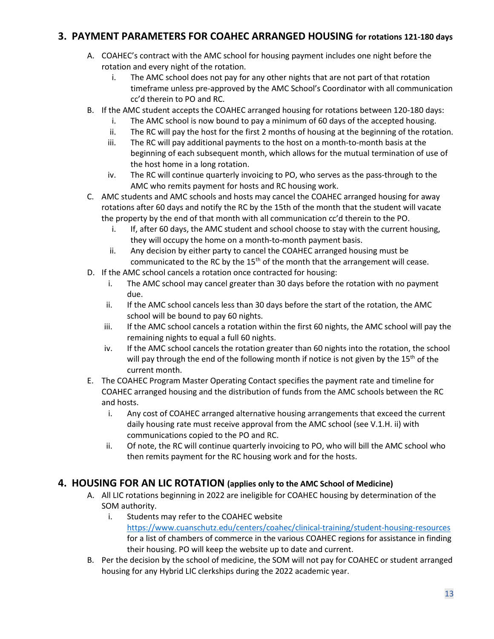## **3. PAYMENT PARAMETERS FOR COAHEC ARRANGED HOUSING for rotations 121-180 days**

- A. COAHEC's contract with the AMC school for housing payment includes one night before the rotation and every night of the rotation.
	- i. The AMC school does not pay for any other nights that are not part of that rotation timeframe unless pre-approved by the AMC School's Coordinator with all communication cc'd therein to PO and RC.
- B. If the AMC student accepts the COAHEC arranged housing for rotations between 120-180 days:
	- i. The AMC school is now bound to pay a minimum of 60 days of the accepted housing.
	- ii. The RC will pay the host for the first 2 months of housing at the beginning of the rotation.
	- iii. The RC will pay additional payments to the host on a month-to-month basis at the beginning of each subsequent month, which allows for the mutual termination of use of the host home in a long rotation.
	- iv. The RC will continue quarterly invoicing to PO, who serves as the pass-through to the AMC who remits payment for hosts and RC housing work.
- C. AMC students and AMC schools and hosts may cancel the COAHEC arranged housing for away rotations after 60 days and notify the RC by the 15th of the month that the student will vacate the property by the end of that month with all communication cc'd therein to the PO.
	- i. If, after 60 days, the AMC student and school choose to stay with the current housing, they will occupy the home on a month-to-month payment basis.
	- ii. Any decision by either party to cancel the COAHEC arranged housing must be communicated to the RC by the  $15<sup>th</sup>$  of the month that the arrangement will cease.
- D. If the AMC school cancels a rotation once contracted for housing:
	- i. The AMC school may cancel greater than 30 days before the rotation with no payment due.
	- ii. If the AMC school cancels less than 30 days before the start of the rotation, the AMC school will be bound to pay 60 nights.
	- iii. If the AMC school cancels a rotation within the first 60 nights, the AMC school will pay the remaining nights to equal a full 60 nights.
	- iv. If the AMC school cancels the rotation greater than 60 nights into the rotation, the school will pay through the end of the following month if notice is not given by the 15<sup>th</sup> of the current month.
- E. The COAHEC Program Master Operating Contact specifies the payment rate and timeline for COAHEC arranged housing and the distribution of funds from the AMC schools between the RC and hosts.
	- i. Any cost of COAHEC arranged alternative housing arrangements that exceed the current daily housing rate must receive approval from the AMC school (see V.1.H. ii) with communications copied to the PO and RC.
	- ii. Of note, the RC will continue quarterly invoicing to PO, who will bill the AMC school who then remits payment for the RC housing work and for the hosts.

### **4. HOUSING FOR AN LIC ROTATION (applies only to the AMC School of Medicine)**

- A. All LIC rotations beginning in 2022 are ineligible for COAHEC housing by determination of the SOM authority.
	- i. Students may refer to the COAHEC website <https://www.cuanschutz.edu/centers/coahec/clinical-training/student-housing-resources> for a list of chambers of commerce in the various COAHEC regions for assistance in finding their housing. PO will keep the website up to date and current.
- B. Per the decision by the school of medicine, the SOM will not pay for COAHEC or student arranged housing for any Hybrid LIC clerkships during the 2022 academic year.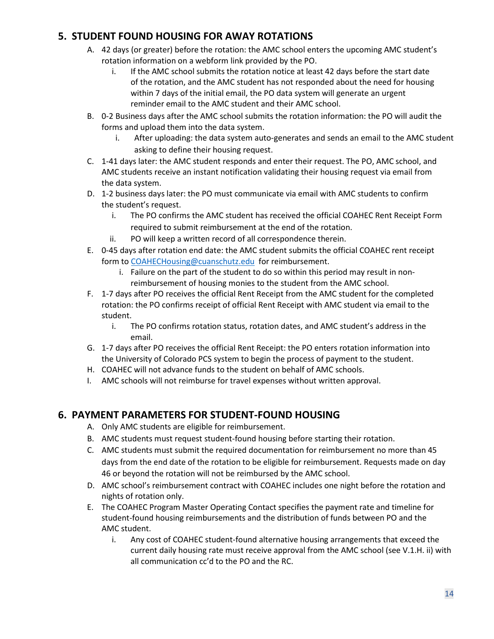# **5. STUDENT FOUND HOUSING FOR AWAY ROTATIONS**

- A. 42 days (or greater) before the rotation: the AMC school enters the upcoming AMC student's rotation information on a webform link provided by the PO.
	- i. If the AMC school submits the rotation notice at least 42 days before the start date of the rotation, and the AMC student has not responded about the need for housing within 7 days of the initial email, the PO data system will generate an urgent reminder email to the AMC student and their AMC school.
- B. 0-2 Business days after the AMC school submits the rotation information: the PO will audit the forms and upload them into the data system.
	- i. After uploading: the data system auto-generates and sends an email to the AMC student asking to define their housing request.
- C. 1-41 days later: the AMC student responds and enter their request. The PO, AMC school, and AMC students receive an instant notification validating their housing request via email from the data system.
- D. 1-2 business days later: the PO must communicate via email with AMC students to confirm the student's request.
	- i. The PO confirms the AMC student has received the official COAHEC Rent Receipt Form required to submit reimbursement at the end of the rotation.
	- ii. PO will keep a written record of all correspondence therein.
- E. 0-45 days after rotation end date: the AMC student submits the official COAHEC rent receipt form to [COAHECHousing@cuanschutz.edu](mailto:COAHECHousing@cuanschutz.edu) for reimbursement.
	- i. Failure on the part of the student to do so within this period may result in nonreimbursement of housing monies to the student from the AMC school.
- F. 1-7 days after PO receives the official Rent Receipt from the AMC student for the completed rotation: the PO confirms receipt of official Rent Receipt with AMC student via email to the student.
	- i. The PO confirms rotation status, rotation dates, and AMC student's address in the email.
- G. 1-7 days after PO receives the official Rent Receipt: the PO enters rotation information into the University of Colorado PCS system to begin the process of payment to the student.
- H. COAHEC will not advance funds to the student on behalf of AMC schools.
- I. AMC schools will not reimburse for travel expenses without written approval.

# **6. PAYMENT PARAMETERS FOR STUDENT-FOUND HOUSING**

- A. Only AMC students are eligible for reimbursement.
- B. AMC students must request student-found housing before starting their rotation.
- C. AMC students must submit the required documentation for reimbursement no more than 45 days from the end date of the rotation to be eligible for reimbursement. Requests made on day 46 or beyond the rotation will not be reimbursed by the AMC school.
- D. AMC school's reimbursement contract with COAHEC includes one night before the rotation and nights of rotation only.
- E. The COAHEC Program Master Operating Contact specifies the payment rate and timeline for student-found housing reimbursements and the distribution of funds between PO and the AMC student.
	- i. Any cost of COAHEC student-found alternative housing arrangements that exceed the current daily housing rate must receive approval from the AMC school (see V.1.H. ii) with all communication cc'd to the PO and the RC.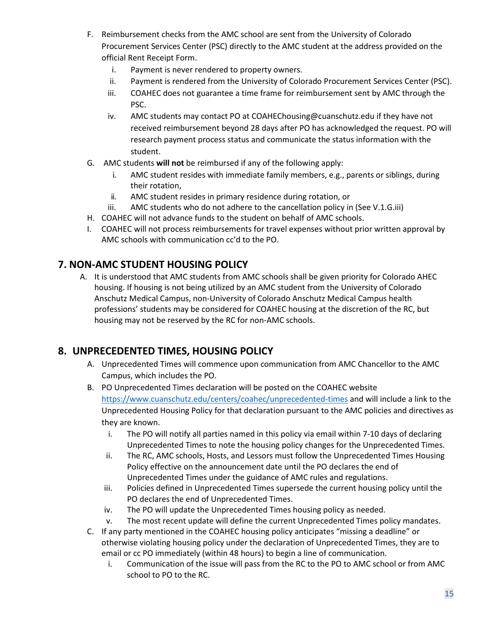- F. Reimbursement checks from the AMC school are sent from the University of Colorado Procurement Services Center (PSC) directly to the AMC student at the address provided on the official Rent Receipt Form.
	- i. Payment is never rendered to property owners.
	- ii. Payment is rendered from the University of Colorado Procurement Services Center (PSC).
	- iii. COAHEC does not guarantee a time frame for reimbursement sent by AMC through the PSC.
	- iv. AMC students may contact PO at COAHEChousing@cuanschutz.edu if they have not received reimbursement beyond 28 days after PO has acknowledged the request. PO will research payment process status and communicate the status information with the student.
- G. AMC students **will not** be reimbursed if any of the following apply:
	- i. AMC student resides with immediate family members, e.g., parents or siblings, during their rotation,
	- ii. AMC student resides in primary residence during rotation, or
	- iii. AMC students who do not adhere to the cancellation policy in (See V.1.G.iii)
- H. COAHEC will not advance funds to the student on behalf of AMC schools.
- I. COAHEC will not process reimbursements for travel expenses without prior written approval by AMC schools with communication cc'd to the PO.

## **7. NON-AMC STUDENT HOUSING POLICY**

A. It is understood that AMC students from AMC schools shall be given priority for Colorado AHEC housing. If housing is not being utilized by an AMC student from the University of Colorado Anschutz Medical Campus, non-University of Colorado Anschutz Medical Campus health professions' students may be considered for COAHEC housing at the discretion of the RC, but housing may not be reserved by the RC for non-AMC schools.

# **8. UNPRECEDENTED TIMES, HOUSING POLICY**

- A. Unprecedented Times will commence upon communication from AMC Chancellor to the AMC Campus, which includes the PO.
- B. PO Unprecedented Times declaration will be posted on the COAHEC website <https://www.cuanschutz.edu/centers/coahec/unprecedented-times> and will include a link to the Unprecedented Housing Policy for that declaration pursuant to the AMC policies and directives as they are known.
	- i. The PO will notify all parties named in this policy via email within 7-10 days of declaring Unprecedented Times to note the housing policy changes for the Unprecedented Times.
	- ii. The RC, AMC schools, Hosts, and Lessors must follow the Unprecedented Times Housing Policy effective on the announcement date until the PO declares the end of Unprecedented Times under the guidance of AMC rules and regulations.
	- iii. Policies defined in Unprecedented Times supersede the current housing policy until the PO declares the end of Unprecedented Times.
	- iv. The PO will update the Unprecedented Times housing policy as needed.
	- v. The most recent update will define the current Unprecedented Times policy mandates.
- C. If any party mentioned in the COAHEC housing policy anticipates "missing a deadline" or otherwise violating housing policy under the declaration of Unprecedented Times, they are to email or cc PO immediately (within 48 hours) to begin a line of communication.
	- i. Communication of the issue will pass from the RC to the PO to AMC school or from AMC school to PO to the RC.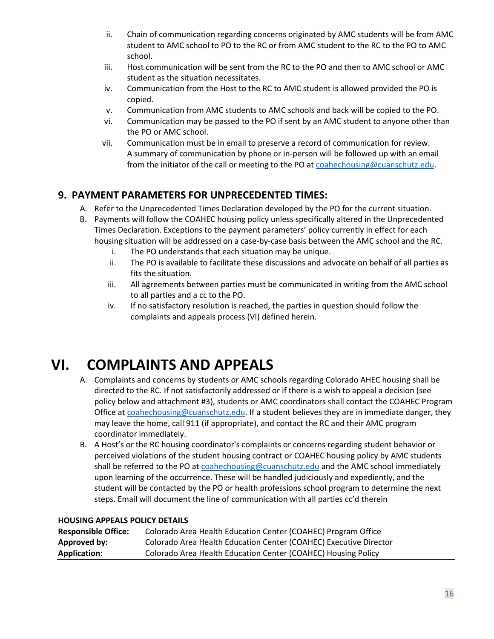- ii. Chain of communication regarding concerns originated by AMC students will be from AMC student to AMC school to PO to the RC or from AMC student to the RC to the PO to AMC school.
- iii. Host communication will be sent from the RC to the PO and then to AMC school or AMC student as the situation necessitates.
- iv. Communication from the Host to the RC to AMC student is allowed provided the PO is copied.
- v. Communication from AMC students to AMC schools and back will be copied to the PO.
- vi. Communication may be passed to the PO if sent by an AMC student to anyone other than the PO or AMC school.
- vii. Communication must be in email to preserve a record of communication for review. A summary of communication by phone or in-person will be followed up with an email from the initiator of the call or meeting to the PO a[t coahechousing@cuanschutz.edu.](mailto:coahechousing@cuanschutz.edu)

# **9. PAYMENT PARAMETERS FOR UNPRECEDENTED TIMES:**

- A. Refer to the Unprecedented Times Declaration developed by the PO for the current situation.
- B. Payments will follow the COAHEC housing policy unless specifically altered in the Unprecedented Times Declaration. Exceptions to the payment parameters' policy currently in effect for each housing situation will be addressed on a case-by-case basis between the AMC school and the RC.
	- i. The PO understands that each situation may be unique.
	- ii. The PO is available to facilitate these discussions and advocate on behalf of all parties as fits the situation.
	- iii. All agreements between parties must be communicated in writing from the AMC school to all parties and a cc to the PO.
	- iv. If no satisfactory resolution is reached, the parties in question should follow the complaints and appeals process (VI) defined herein.

# **VI. COMPLAINTS AND APPEALS**

- A. Complaints and concerns by students or AMC schools regarding Colorado AHEC housing shall be directed to the RC. If not satisfactorily addressed or if there is a wish to appeal a decision (see policy below and attachment #3), students or AMC coordinators shall contact the COAHEC Program Office a[t coahechousing@cuanschutz.edu.](mailto:coahechousing@cuanschutz.edu) If a student believes they are in immediate danger, they may leave the home, call 911 (if appropriate), and contact the RC and their AMC program coordinator immediately.
- B. A Host's or the RC housing coordinator's complaints or concerns regarding student behavior or perceived violations of the student housing contract or COAHEC housing policy by AMC students shall be referred to the PO a[t coahechousing@cuanschutz.edu](mailto:coahechousing@cuanschutz.edu) and the AMC school immediately upon learning of the occurrence. These will be handled judiciously and expediently, and the student will be contacted by the PO or health professions school program to determine the next steps. Email will document the line of communication with all parties cc'd therein

#### **HOUSING APPEALS POLICY DETAILS**

| <b>Responsible Office:</b> | Colorado Area Health Education Center (COAHEC) Program Office     |
|----------------------------|-------------------------------------------------------------------|
| Approved by:               | Colorado Area Health Education Center (COAHEC) Executive Director |
| Application:               | Colorado Area Health Education Center (COAHEC) Housing Policy     |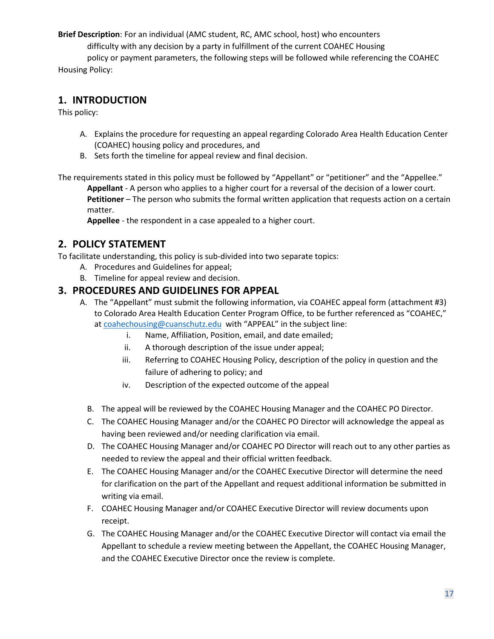**Brief Description**: For an individual (AMC student, RC, AMC school, host) who encounters

difficulty with any decision by a party in fulfillment of the current COAHEC Housing

policy or payment parameters, the following steps will be followed while referencing the COAHEC Housing Policy:

### **1. INTRODUCTION**

This policy:

- A. Explains the procedure for requesting an appeal regarding Colorado Area Health Education Center (COAHEC) housing policy and procedures, and
- B. Sets forth the timeline for appeal review and final decision.

The requirements stated in this policy must be followed by "Appellant" or "petitioner" and the "Appellee."

**Appellant** - A person who applies to a higher court for a reversal of the decision of a lower court. Petitioner – The person who submits the formal written application that requests action on a certain matter.

**Appellee** - the respondent in a case appealed to a higher court.

# **2. POLICY STATEMENT**

To facilitate understanding, this policy is sub-divided into two separate topics:

- A. Procedures and Guidelines for appeal;
- B. Timeline for appeal review and decision.

#### **3. PROCEDURES AND GUIDELINES FOR APPEAL**

- A. The "Appellant" must submit the following information, via COAHEC appeal form (attachment #3) to Colorado Area Health Education Center Program Office, to be further referenced as "COAHEC," at [coahechousing@cuanschutz.edu](mailto:coahechousing@cuanschutz.edu) with "APPEAL" in the subject line:
	- i. Name, Affiliation, Position, email, and date emailed;
	- ii. A thorough description of the issue under appeal;
	- iii. Referring to COAHEC Housing Policy, description of the policy in question and the failure of adhering to policy; and
	- iv. Description of the expected outcome of the appeal
	- B. The appeal will be reviewed by the COAHEC Housing Manager and the COAHEC PO Director.
	- C. The COAHEC Housing Manager and/or the COAHEC PO Director will acknowledge the appeal as having been reviewed and/or needing clarification via email.
	- D. The COAHEC Housing Manager and/or COAHEC PO Director will reach out to any other parties as needed to review the appeal and their official written feedback.
	- E. The COAHEC Housing Manager and/or the COAHEC Executive Director will determine the need for clarification on the part of the Appellant and request additional information be submitted in writing via email.
	- F. COAHEC Housing Manager and/or COAHEC Executive Director will review documents upon receipt.
	- G. The COAHEC Housing Manager and/or the COAHEC Executive Director will contact via email the Appellant to schedule a review meeting between the Appellant, the COAHEC Housing Manager, and the COAHEC Executive Director once the review is complete.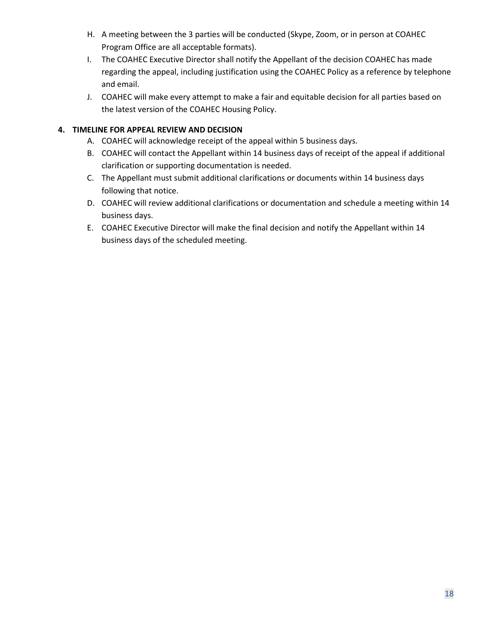- H. A meeting between the 3 parties will be conducted (Skype, Zoom, or in person at COAHEC Program Office are all acceptable formats).
- I. The COAHEC Executive Director shall notify the Appellant of the decision COAHEC has made regarding the appeal, including justification using the COAHEC Policy as a reference by telephone and email.
- J. COAHEC will make every attempt to make a fair and equitable decision for all parties based on the latest version of the COAHEC Housing Policy.

#### **4. TIMELINE FOR APPEAL REVIEW AND DECISION**

- A. COAHEC will acknowledge receipt of the appeal within 5 business days.
- B. COAHEC will contact the Appellant within 14 business days of receipt of the appeal if additional clarification or supporting documentation is needed.
- C. The Appellant must submit additional clarifications or documents within 14 business days following that notice.
- D. COAHEC will review additional clarifications or documentation and schedule a meeting within 14 business days.
- E. COAHEC Executive Director will make the final decision and notify the Appellant within 14 business days of the scheduled meeting.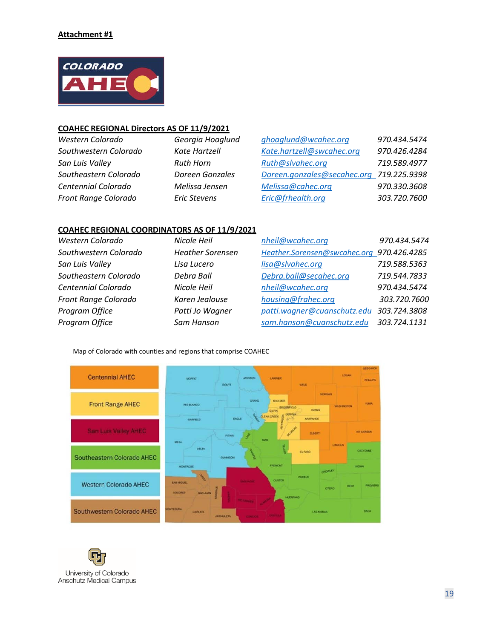

#### **COAHEC REGIONAL Directors AS OF 11/9/2021**

| Western Colorado      | Georgia Hoaglund    | ghoaglund@wcahec.org                     | 970.434.5474 |
|-----------------------|---------------------|------------------------------------------|--------------|
| Southwestern Colorado | Kate Hartzell       | Kate.hartzell@swcahec.org                | 970.426.4284 |
| San Luis Valley       | <b>Ruth Horn</b>    | Ruth@slvahec.org                         | 719.589.4977 |
| Southeastern Colorado | Doreen Gonzales     | Doreen.gonzales@secahec.org 719.225.9398 |              |
| Centennial Colorado   | Melissa Jensen      | Melissa@cahec.org                        | 970.330.3608 |
| Front Range Colorado  | <b>Eric Stevens</b> | Eric@frhealth.org                        | 303.720.7600 |

#### **COAHEC REGIONAL COORDINATORS AS OF 11/9/2021**

| Western Colorado      | Nicole Heil             | nheil@wcahec.org                          | 970.434.5474 |
|-----------------------|-------------------------|-------------------------------------------|--------------|
| Southwestern Colorado | <b>Heather Sorensen</b> | Heather.Sorensen@swcahec.org 970.426.4285 |              |
| San Luis Valley       | Lisa Lucero             | lisa@slvahec.org                          | 719.588.5363 |
| Southeastern Colorado | Debra Ball              | Debra.ball@secahec.org                    | 719.544.7833 |
| Centennial Colorado   | Nicole Heil             | nheil@wcahec.org                          | 970.434.5474 |
| Front Range Colorado  | Karen Jealouse          | housing@frahec.org                        | 303.720.7600 |
| Program Office        | Patti Jo Wagner         | patti.wagner@cuanschutz.edu               | 303.724.3808 |
| Program Office        | Sam Hanson              | sam.hanson@cuanschutz.edu                 | 303.724.1131 |

#### Map of Colorado with counties and regions that comprise COAHEC



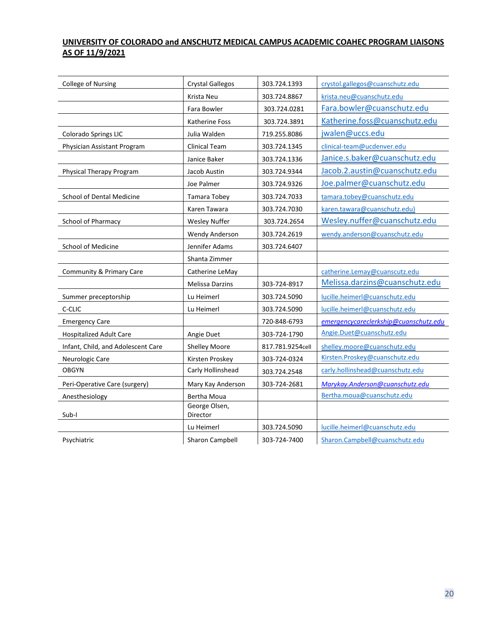#### **UNIVERSITY OF COLORADO and ANSCHUTZ MEDICAL CAMPUS ACADEMIC COAHEC PROGRAM LIAISONS AS OF 11/9/2021**

| College of Nursing                 | <b>Crystal Gallegos</b>   | 303.724.1393     | crystol.gallegos@cuanschutz.edu       |
|------------------------------------|---------------------------|------------------|---------------------------------------|
|                                    | Krista Neu                | 303.724.8867     | krista.neu@cuanschutz.edu             |
|                                    | Fara Bowler               | 303.724.0281     | Fara.bowler@cuanschutz.edu            |
|                                    | <b>Katherine Foss</b>     | 303.724.3891     | Katherine.foss@cuanschutz.edu         |
| Colorado Springs LIC               | Julia Walden              | 719.255.8086     | jwalen@uccs.edu                       |
| Physician Assistant Program        | Clinical Team             | 303.724.1345     | clinical-team@ucdenver.edu            |
|                                    | Janice Baker              | 303.724.1336     | Janice.s.baker@cuanschutz.edu         |
| Physical Therapy Program           | Jacob Austin              | 303.724.9344     | Jacob.2.austin@cuanschutz.edu         |
|                                    | Joe Palmer                | 303.724.9326     | Joe.palmer@cuanschutz.edu             |
| School of Dental Medicine          | Tamara Tobey              | 303.724.7033     | tamara.tobey@cuanschutz.edu           |
|                                    | Karen Tawara              | 303.724.7030     | karen.tawara@cuanschutz.edu)          |
| School of Pharmacy                 | <b>Wesley Nuffer</b>      | 303.724.2654     | Wesley.nuffer@cuanschutz.edu          |
|                                    | <b>Wendy Anderson</b>     | 303.724.2619     | wendy.anderson@cuanschutz.edu         |
| School of Medicine                 | Jennifer Adams            | 303.724.6407     |                                       |
|                                    | Shanta Zimmer             |                  |                                       |
| Community & Primary Care           | Catherine LeMay           |                  | catherine.Lemay@cuanscutz.edu         |
|                                    | <b>Melissa Darzins</b>    | 303-724-8917     | Melissa.darzins@cuanschutz.edu        |
| Summer preceptorship               | Lu Heimerl                | 303.724.5090     | lucille.heimerl@cuanschutz.edu        |
| C-CLIC                             | Lu Heimerl                | 303.724.5090     | lucille.heimerl@cuanschutz.edu        |
| <b>Emergency Care</b>              |                           | 720-848-6793     | emergencycareclerkship@cuanschutz.edu |
| <b>Hospitalized Adult Care</b>     | Angie Duet                | 303-724-1790     | Angie.Duet@cuanschutz.edu             |
| Infant, Child, and Adolescent Care | <b>Shelley Moore</b>      | 817.781.9254cell | shelley.moore@cuanschutz.edu          |
| Neurologic Care                    | Kirsten Proskey           | 303-724-0324     | Kirsten.Proskey@cuanschutz.edu        |
| <b>OBGYN</b>                       | Carly Hollinshead         | 303.724.2548     | carly.hollinshead@cuanschutz.edu      |
| Peri-Operative Care (surgery)      | Mary Kay Anderson         | 303-724-2681     | Marykay.Anderson@cuanschutz.edu       |
| Anesthesiology                     | Bertha Moua               |                  | Bertha.moua@cuanschutz.edu            |
| Sub-I                              | George Olsen,<br>Director |                  |                                       |
|                                    | Lu Heimerl                | 303.724.5090     | lucille.heimerl@cuanschutz.edu        |
| Psychiatric                        | Sharon Campbell           | 303-724-7400     | Sharon.Campbell@cuanschutz.edu        |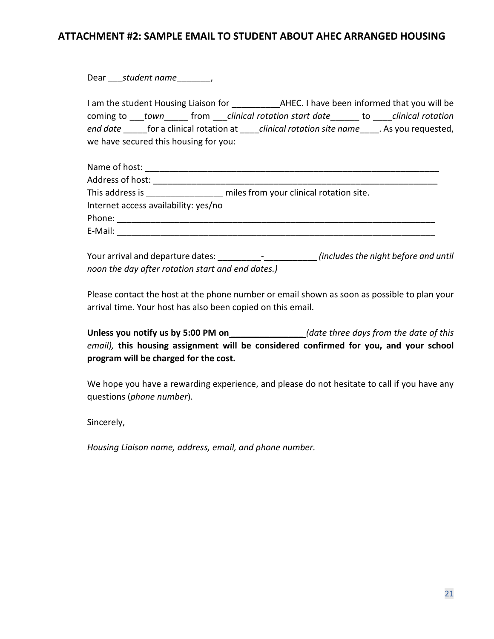## **ATTACHMENT #2: SAMPLE EMAIL TO STUDENT ABOUT AHEC ARRANGED HOUSING**

Dear \_\_\_\_\_*student name*\_\_\_\_\_\_\_\_,

I am the student Housing Liaison for \_\_\_\_\_\_\_\_\_\_AHEC. I have been informed that you will be coming to \_\_\_*town*\_\_\_\_\_ from \_\_\_*clinical rotation start date*\_\_\_\_\_\_ to \_\_\_\_*clinical rotation end date* \_\_\_\_\_for a clinical rotation at \_\_\_\_*clinical rotation site name*\_\_\_\_. As you requested, we have secured this housing for you:

| Name of host:                        |                                         |
|--------------------------------------|-----------------------------------------|
| Address of host:                     |                                         |
| This address is                      | miles from your clinical rotation site. |
| Internet access availability: yes/no |                                         |
| Phone:                               |                                         |
| E-Mail:                              |                                         |

Your arrival and departure dates: \_\_\_\_\_\_\_\_\_-\_\_\_\_\_\_\_\_\_\_\_ *(includes the night before and until noon the day after rotation start and end dates.)*

Please contact the host at the phone number or email shown as soon as possible to plan your arrival time. Your host has also been copied on this email.

**Unless you notify us by 5:00 PM on** *\_\_\_\_\_\_\_\_\_\_\_\_\_\_\_ (date three days from the date of this email),* **this housing assignment will be considered confirmed for you, and your school program will be charged for the cost.** 

We hope you have a rewarding experience, and please do not hesitate to call if you have any questions (*phone number*).

Sincerely,

*Housing Liaison name, address, email, and phone number.*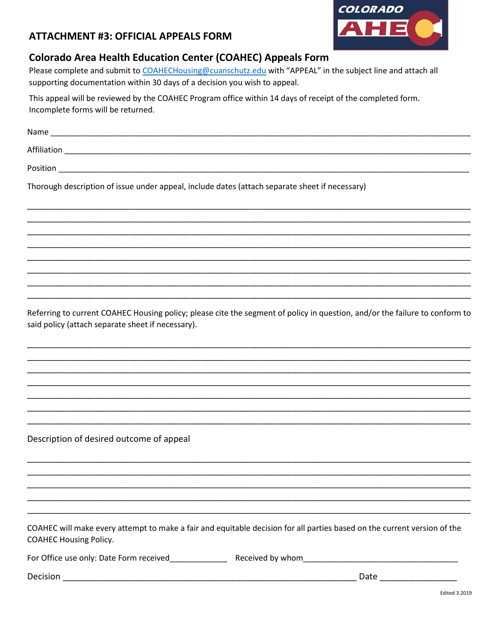

## **ATTACHMENT #3: OFFICIAL APPEALS FORM**

# **Colorado Area Health Education Center (COAHEC) Appeals Form**

Please complete and submit to COAHECHousing@cuanschutz.edu with "APPEAL" in the subject line and attach all supporting documentation within 30 days of a decision you wish to appeal.

This appeal will be reviewed by the COAHEC Program office within 14 days of receipt of the completed form. Incomplete forms will be returned.

| Affiliation                                                                                    |
|------------------------------------------------------------------------------------------------|
|                                                                                                |
| Thorough description of issue under appeal, include dates (attach separate sheet if necessary) |
|                                                                                                |
|                                                                                                |

Referring to current COAHEC Housing policy; please cite the segment of policy in question, and/or the failure to conform to said policy (attach separate sheet if necessary).

Description of desired outcome of appeal

COAHEC will make every attempt to make a fair and equitable decision for all parties based on the current version of the **COAHEC Housing Policy.** 

| For Office use only: Date Form received | Received by whom |
|-----------------------------------------|------------------|
|                                         |                  |